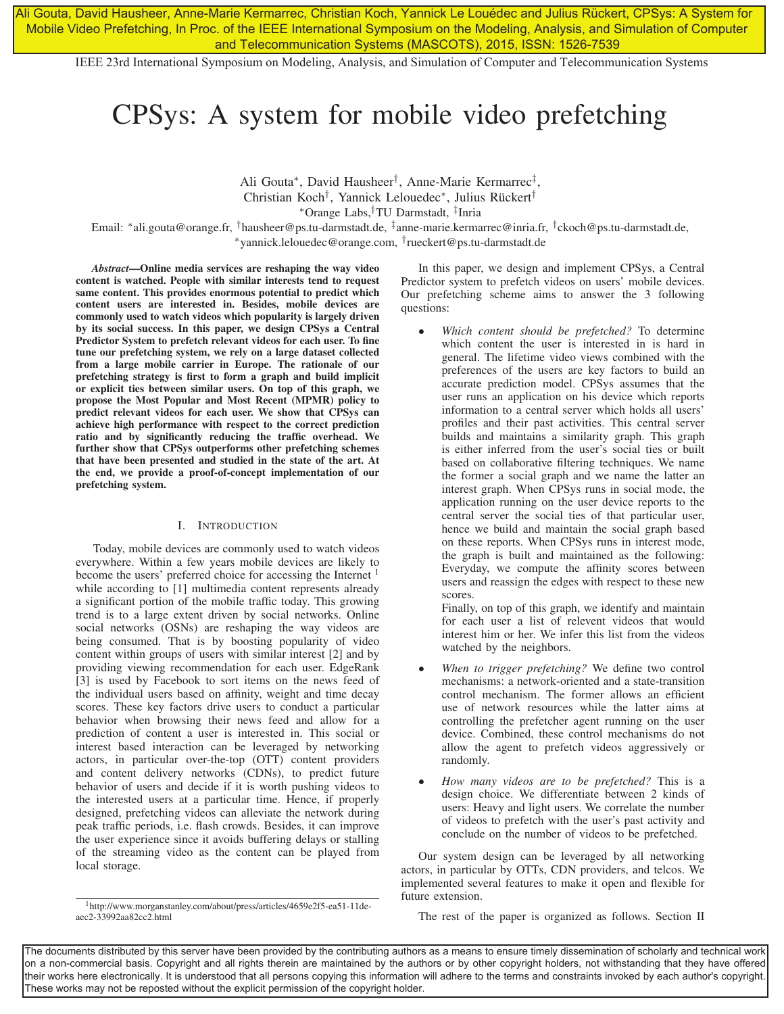Ali Gouta, David Hausheer, Anne-Marie Kermarrec, Christian Koch, Yannick Le Louédec and Julius Rückert, CPSys: A System for Mobile Video Prefetching, In Proc. of the IEEE International Symposium on the Modeling, Analysis, and Simulation of Computer and Telecommunication Systems (MASCOTS), 2015, ISSN: 1526-7539

IEEE 23rd International Symposium on Modeling, Analysis, and Simulation of Computer and Telecommunication Systems

# CPSys: A system for mobile video prefetching

Ali Gouta∗, David Hausheer†, Anne-Marie Kermarrec‡, Christian Koch†, Yannick Lelouedec∗, Julius Rückert† ∗Orange Labs,†TU Darmstadt, ‡Inria Email: ∗ali.gouta@orange.fr, †hausheer@ps.tu-darmstadt.de, ‡anne-marie.kermarrec@inria.fr, †ckoch@ps.tu-darmstadt.de, ∗yannick.lelouedec@orange.com, †rueckert@ps.tu-darmstadt.de

*Abstract*—Online media services are reshaping the way video content is watched. People with similar interests tend to request same content. This provides enormous potential to predict which content users are interested in. Besides, mobile devices are commonly used to watch videos which popularity is largely driven by its social success. In this paper, we design CPSys a Central Predictor System to prefetch relevant videos for each user. To fine tune our prefetching system, we rely on a large dataset collected from a large mobile carrier in Europe. The rationale of our prefetching strategy is first to form a graph and build implicit or explicit ties between similar users. On top of this graph, we propose the Most Popular and Most Recent (MPMR) policy to predict relevant videos for each user. We show that CPSys can achieve high performance with respect to the correct prediction ratio and by significantly reducing the traffic overhead. We further show that CPSys outperforms other prefetching schemes that have been presented and studied in the state of the art. At the end, we provide a proof-of-concept implementation of our prefetching system.

## I. INTRODUCTION

Today, mobile devices are commonly used to watch videos everywhere. Within a few years mobile devices are likely to become the users' preferred choice for accessing the Internet <sup>1</sup> while according to [1] multimedia content represents already a significant portion of the mobile traffic today. This growing trend is to a large extent driven by social networks. Online social networks (OSNs) are reshaping the way videos are being consumed. That is by boosting popularity of video content within groups of users with similar interest [2] and by providing viewing recommendation for each user. EdgeRank [3] is used by Facebook to sort items on the news feed of the individual users based on affinity, weight and time decay scores. These key factors drive users to conduct a particular behavior when browsing their news feed and allow for a prediction of content a user is interested in. This social or interest based interaction can be leveraged by networking actors, in particular over-the-top (OTT) content providers and content delivery networks (CDNs), to predict future behavior of users and decide if it is worth pushing videos to the interested users at a particular time. Hence, if properly designed, prefetching videos can alleviate the network during peak traffic periods, i.e. flash crowds. Besides, it can improve the user experience since it avoids buffering delays or stalling of the streaming video as the content can be played from local storage.

1http://www.morganstanley.com/about/press/articles/4659e2f5-ea51-11deaec2-33992aa82cc2.html

In this paper, we design and implement CPSys, a Central Predictor system to prefetch videos on users' mobile devices. Our prefetching scheme aims to answer the 3 following questions:

• *Which content should be prefetched?* To determine which content the user is interested in is hard in general. The lifetime video views combined with the preferences of the users are key factors to build an accurate prediction model. CPSys assumes that the user runs an application on his device which reports information to a central server which holds all users' profiles and their past activities. This central server builds and maintains a similarity graph. This graph is either inferred from the user's social ties or built based on collaborative filtering techniques. We name the former a social graph and we name the latter an interest graph. When CPSys runs in social mode, the application running on the user device reports to the central server the social ties of that particular user, hence we build and maintain the social graph based on these reports. When CPSys runs in interest mode, the graph is built and maintained as the following: Everyday, we compute the affinity scores between users and reassign the edges with respect to these new scores.

Finally, on top of this graph, we identify and maintain for each user a list of relevent videos that would interest him or her. We infer this list from the videos watched by the neighbors.

- *When to trigger prefetching?* We define two control mechanisms: a network-oriented and a state-transition control mechanism. The former allows an efficient use of network resources while the latter aims at controlling the prefetcher agent running on the user device. Combined, these control mechanisms do not allow the agent to prefetch videos aggressively or randomly.
- *How many videos are to be prefetched?* This is a design choice. We differentiate between 2 kinds of users: Heavy and light users. We correlate the number of videos to prefetch with the user's past activity and conclude on the number of videos to be prefetched.

Our system design can be leveraged by all networking actors, in particular by OTTs, CDN providers, and telcos. We implemented several features to make it open and flexible for future extension.

The rest of the paper is organized as follows. Section II

The documents distributed by this server have been provided by the contributing authors as a means to ensure timely dissemination of scholarly and technical work on a non-commercial basis. Copyright and all rights therein are maintained by the authors or by other copyright holders, not withstanding that they have offered their works here electronically. It is understood that all persons copying this information will adhere to the terms and constraints invoked by each author's copyright. These works may not be reposted without the explicit permission of the copyright holder.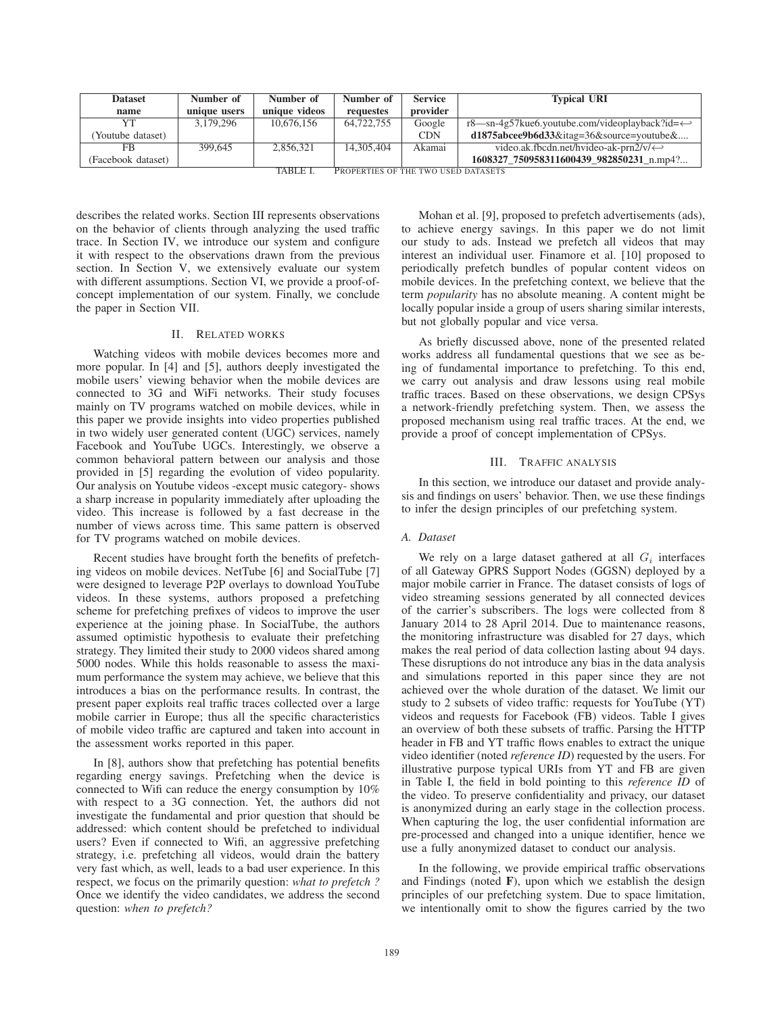| <b>Dataset</b>     | Number of    | Number of     | Number of                           | <b>Service</b> | <b>Typical URI</b>                                                |
|--------------------|--------------|---------------|-------------------------------------|----------------|-------------------------------------------------------------------|
| name               | unique users | unique videos | requestes                           | provider       |                                                                   |
|                    | 3.179.296    | 10.676.156    | 64,722,755                          | Google         | $r8$ —sn-4g57kue6.youtube.com/videoplayback?id= $\leftrightarrow$ |
| (Youtube dataset)  |              |               |                                     | <b>CDN</b>     | $d1875$ abcee9b6d33&itag=36&source=youtube&                       |
| FB                 | 399.645      | 2.856.321     | 14,305,404                          | Akamai         | video.ak.fbcdn.net/hvideo-ak-prn2/v/ $\leftrightarrow$            |
| (Facebook dataset) |              | TADIEI        | Drobebties of the two hsen natasets |                | 1608327 750958311600439 982850231 n.mp4?                          |

TABLE I. PROPERTIES OF THE TWO USED DATASETS

describes the related works. Section III represents observations on the behavior of clients through analyzing the used traffic trace. In Section IV, we introduce our system and configure it with respect to the observations drawn from the previous section. In Section V, we extensively evaluate our system with different assumptions. Section VI, we provide a proof-ofconcept implementation of our system. Finally, we conclude the paper in Section VII.

# II. RELATED WORKS

Watching videos with mobile devices becomes more and more popular. In [4] and [5], authors deeply investigated the mobile users' viewing behavior when the mobile devices are connected to 3G and WiFi networks. Their study focuses mainly on TV programs watched on mobile devices, while in this paper we provide insights into video properties published in two widely user generated content (UGC) services, namely Facebook and YouTube UGCs. Interestingly, we observe a common behavioral pattern between our analysis and those provided in [5] regarding the evolution of video popularity. Our analysis on Youtube videos -except music category- shows a sharp increase in popularity immediately after uploading the video. This increase is followed by a fast decrease in the number of views across time. This same pattern is observed for TV programs watched on mobile devices.

Recent studies have brought forth the benefits of prefetching videos on mobile devices. NetTube [6] and SocialTube [7] were designed to leverage P2P overlays to download YouTube videos. In these systems, authors proposed a prefetching scheme for prefetching prefixes of videos to improve the user experience at the joining phase. In SocialTube, the authors assumed optimistic hypothesis to evaluate their prefetching strategy. They limited their study to 2000 videos shared among 5000 nodes. While this holds reasonable to assess the maximum performance the system may achieve, we believe that this introduces a bias on the performance results. In contrast, the present paper exploits real traffic traces collected over a large mobile carrier in Europe; thus all the specific characteristics of mobile video traffic are captured and taken into account in the assessment works reported in this paper.

In [8], authors show that prefetching has potential benefits regarding energy savings. Prefetching when the device is connected to Wifi can reduce the energy consumption by 10% with respect to a 3G connection. Yet, the authors did not investigate the fundamental and prior question that should be addressed: which content should be prefetched to individual users? Even if connected to Wifi, an aggressive prefetching strategy, i.e. prefetching all videos, would drain the battery very fast which, as well, leads to a bad user experience. In this respect, we focus on the primarily question: *what to prefetch ?* Once we identify the video candidates, we address the second question: *when to prefetch?*

Mohan et al. [9], proposed to prefetch advertisements (ads), to achieve energy savings. In this paper we do not limit our study to ads. Instead we prefetch all videos that may interest an individual user. Finamore et al. [10] proposed to periodically prefetch bundles of popular content videos on mobile devices. In the prefetching context, we believe that the term *popularity* has no absolute meaning. A content might be locally popular inside a group of users sharing similar interests, but not globally popular and vice versa.

As briefly discussed above, none of the presented related works address all fundamental questions that we see as being of fundamental importance to prefetching. To this end, we carry out analysis and draw lessons using real mobile traffic traces. Based on these observations, we design CPSys a network-friendly prefetching system. Then, we assess the proposed mechanism using real traffic traces. At the end, we provide a proof of concept implementation of CPSys.

# III. TRAFFIC ANALYSIS

In this section, we introduce our dataset and provide analysis and findings on users' behavior. Then, we use these findings to infer the design principles of our prefetching system.

#### *A. Dataset*

We rely on a large dataset gathered at all  $G_i$  interfaces of all Gateway GPRS Support Nodes (GGSN) deployed by a major mobile carrier in France. The dataset consists of logs of video streaming sessions generated by all connected devices of the carrier's subscribers. The logs were collected from 8 January 2014 to 28 April 2014. Due to maintenance reasons, the monitoring infrastructure was disabled for 27 days, which makes the real period of data collection lasting about 94 days. These disruptions do not introduce any bias in the data analysis and simulations reported in this paper since they are not achieved over the whole duration of the dataset. We limit our study to 2 subsets of video traffic: requests for YouTube (YT) videos and requests for Facebook (FB) videos. Table I gives an overview of both these subsets of traffic. Parsing the HTTP header in FB and YT traffic flows enables to extract the unique video identifier (noted *reference ID*) requested by the users. For illustrative purpose typical URIs from YT and FB are given in Table I, the field in bold pointing to this *reference ID* of the video. To preserve confidentiality and privacy, our dataset is anonymized during an early stage in the collection process. When capturing the log, the user confidential information are pre-processed and changed into a unique identifier, hence we use a fully anonymized dataset to conduct our analysis.

In the following, we provide empirical traffic observations and Findings (noted  $\bf{F}$ ), upon which we establish the design principles of our prefetching system. Due to space limitation, we intentionally omit to show the figures carried by the two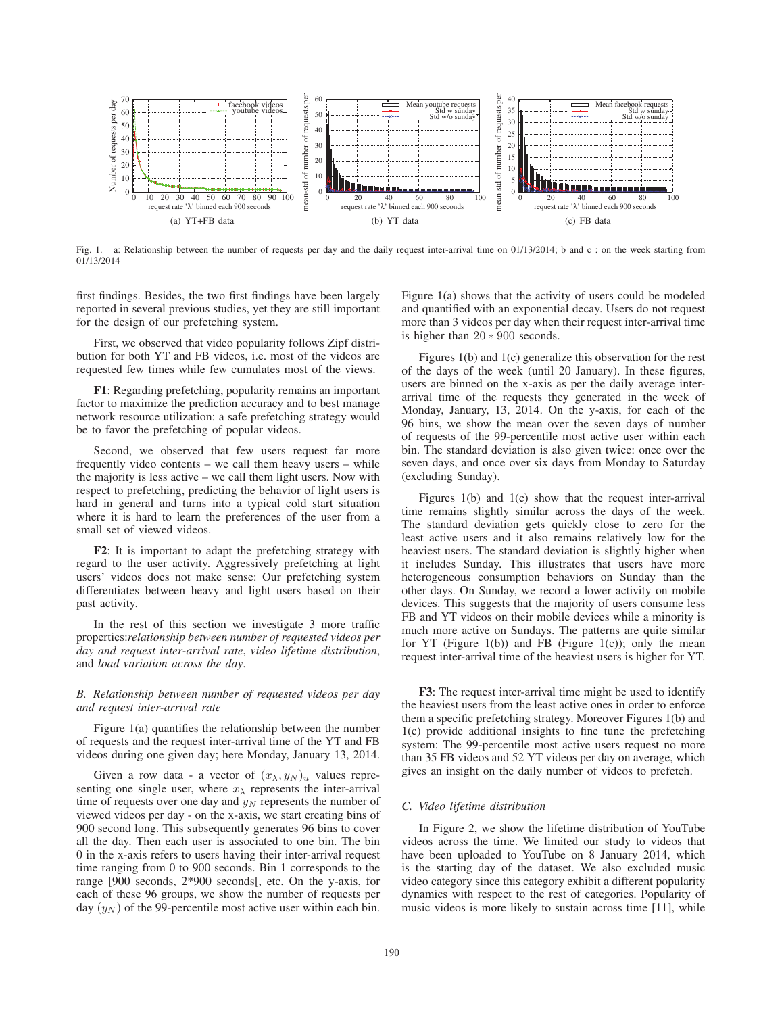

Fig. 1. a: Relationship between the number of requests per day and the daily request inter-arrival time on 01/13/2014; b and c : on the week starting from 01/13/2014

first findings. Besides, the two first findings have been largely reported in several previous studies, yet they are still important for the design of our prefetching system.

First, we observed that video popularity follows Zipf distribution for both YT and FB videos, i.e. most of the videos are requested few times while few cumulates most of the views.

F1: Regarding prefetching, popularity remains an important factor to maximize the prediction accuracy and to best manage network resource utilization: a safe prefetching strategy would be to favor the prefetching of popular videos.

Second, we observed that few users request far more frequently video contents – we call them heavy users – while the majority is less active – we call them light users. Now with respect to prefetching, predicting the behavior of light users is hard in general and turns into a typical cold start situation where it is hard to learn the preferences of the user from a small set of viewed videos.

F2: It is important to adapt the prefetching strategy with regard to the user activity. Aggressively prefetching at light users' videos does not make sense: Our prefetching system differentiates between heavy and light users based on their past activity.

In the rest of this section we investigate 3 more traffic properties:*relationship between number of requested videos per day and request inter-arrival rate*, *video lifetime distribution*, and *load variation across the day*.

# *B. Relationship between number of requested videos per day and request inter-arrival rate*

Figure 1(a) quantifies the relationship between the number of requests and the request inter-arrival time of the YT and FB videos during one given day; here Monday, January 13, 2014.

Given a row data - a vector of  $(x_{\lambda}, y_{N})_{u}$  values representing one single user, where  $x_{\lambda}$  represents the inter-arrival time of requests over one day and  $y_N$  represents the number of viewed videos per day - on the x-axis, we start creating bins of 900 second long. This subsequently generates 96 bins to cover all the day. Then each user is associated to one bin. The bin 0 in the x-axis refers to users having their inter-arrival request time ranging from 0 to 900 seconds. Bin 1 corresponds to the range [900 seconds, 2\*900 seconds[, etc. On the y-axis, for each of these 96 groups, we show the number of requests per day  $(y_N)$  of the 99-percentile most active user within each bin.

Figure 1(a) shows that the activity of users could be modeled and quantified with an exponential decay. Users do not request more than 3 videos per day when their request inter-arrival time is higher than 20 ∗ 900 seconds.

Figures 1(b) and 1(c) generalize this observation for the rest of the days of the week (until 20 January). In these figures, users are binned on the x-axis as per the daily average interarrival time of the requests they generated in the week of Monday, January, 13, 2014. On the y-axis, for each of the 96 bins, we show the mean over the seven days of number of requests of the 99-percentile most active user within each bin. The standard deviation is also given twice: once over the seven days, and once over six days from Monday to Saturday (excluding Sunday).

Figures 1(b) and 1(c) show that the request inter-arrival time remains slightly similar across the days of the week. The standard deviation gets quickly close to zero for the least active users and it also remains relatively low for the heaviest users. The standard deviation is slightly higher when it includes Sunday. This illustrates that users have more heterogeneous consumption behaviors on Sunday than the other days. On Sunday, we record a lower activity on mobile devices. This suggests that the majority of users consume less FB and YT videos on their mobile devices while a minority is much more active on Sundays. The patterns are quite similar for YT (Figure 1(b)) and FB (Figure 1(c)); only the mean request inter-arrival time of the heaviest users is higher for YT.

F3: The request inter-arrival time might be used to identify the heaviest users from the least active ones in order to enforce them a specific prefetching strategy. Moreover Figures 1(b) and 1(c) provide additional insights to fine tune the prefetching system: The 99-percentile most active users request no more than 35 FB videos and 52 YT videos per day on average, which gives an insight on the daily number of videos to prefetch.

# *C. Video lifetime distribution*

In Figure 2, we show the lifetime distribution of YouTube videos across the time. We limited our study to videos that have been uploaded to YouTube on 8 January 2014, which is the starting day of the dataset. We also excluded music video category since this category exhibit a different popularity dynamics with respect to the rest of categories. Popularity of music videos is more likely to sustain across time [11], while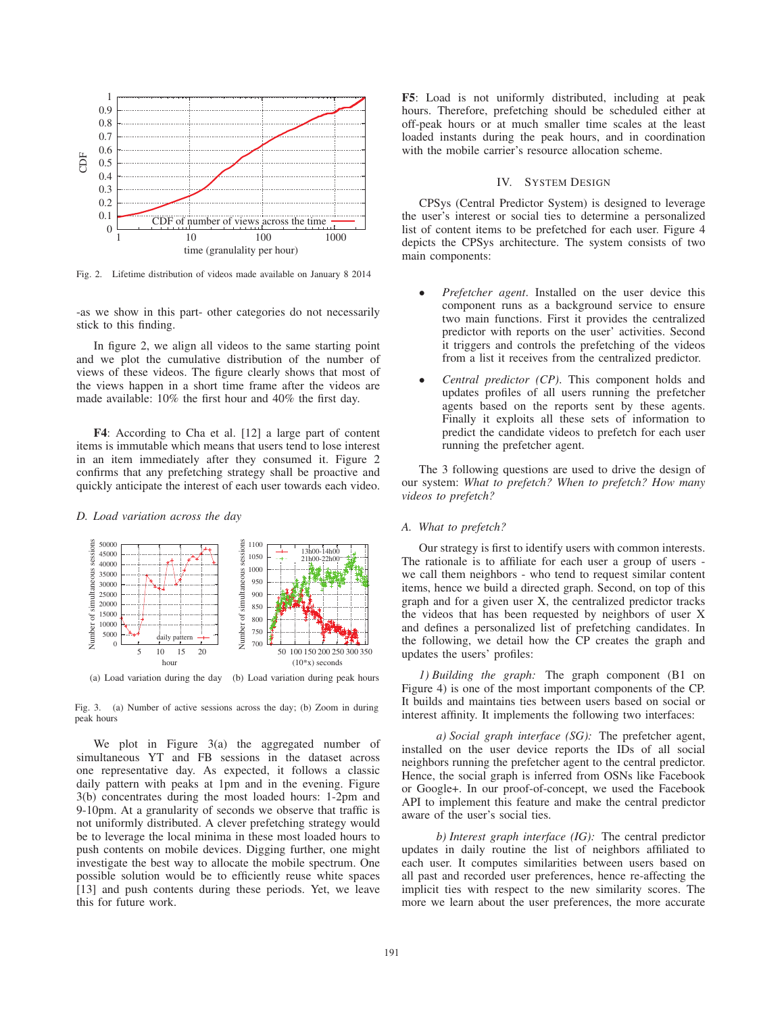

Fig. 2. Lifetime distribution of videos made available on January 8 2014

-as we show in this part- other categories do not necessarily stick to this finding.

In figure 2, we align all videos to the same starting point and we plot the cumulative distribution of the number of views of these videos. The figure clearly shows that most of the views happen in a short time frame after the videos are made available: 10% the first hour and 40% the first day.

F4: According to Cha et al. [12] a large part of content items is immutable which means that users tend to lose interest in an item immediately after they consumed it. Figure 2 confirms that any prefetching strategy shall be proactive and quickly anticipate the interest of each user towards each video.

#### *D. Load variation across the day*



(a) Load variation during the day (b) Load variation during peak hours

Fig. 3. (a) Number of active sessions across the day; (b) Zoom in during peak hours

We plot in Figure 3(a) the aggregated number of simultaneous YT and FB sessions in the dataset across one representative day. As expected, it follows a classic daily pattern with peaks at 1pm and in the evening. Figure 3(b) concentrates during the most loaded hours: 1-2pm and 9-10pm. At a granularity of seconds we observe that traffic is not uniformly distributed. A clever prefetching strategy would be to leverage the local minima in these most loaded hours to push contents on mobile devices. Digging further, one might investigate the best way to allocate the mobile spectrum. One possible solution would be to efficiently reuse white spaces [13] and push contents during these periods. Yet, we leave this for future work.

F5: Load is not uniformly distributed, including at peak hours. Therefore, prefetching should be scheduled either at off-peak hours or at much smaller time scales at the least loaded instants during the peak hours, and in coordination with the mobile carrier's resource allocation scheme.

# IV. SYSTEM DESIGN

CPSys (Central Predictor System) is designed to leverage the user's interest or social ties to determine a personalized list of content items to be prefetched for each user. Figure 4 depicts the CPSys architecture. The system consists of two main components:

- *Prefetcher agent*. Installed on the user device this component runs as a background service to ensure two main functions. First it provides the centralized predictor with reports on the user' activities. Second it triggers and controls the prefetching of the videos from a list it receives from the centralized predictor.
- *Central predictor (CP)*. This component holds and updates profiles of all users running the prefetcher agents based on the reports sent by these agents. Finally it exploits all these sets of information to predict the candidate videos to prefetch for each user running the prefetcher agent.

The 3 following questions are used to drive the design of our system: *What to prefetch? When to prefetch? How many videos to prefetch?*

## *A. What to prefetch?*

Our strategy is first to identify users with common interests. The rationale is to affiliate for each user a group of users we call them neighbors - who tend to request similar content items, hence we build a directed graph. Second, on top of this graph and for a given user X, the centralized predictor tracks the videos that has been requested by neighbors of user X and defines a personalized list of prefetching candidates. In the following, we detail how the CP creates the graph and updates the users' profiles:

*1) Building the graph:* The graph component (B1 on Figure 4) is one of the most important components of the CP. It builds and maintains ties between users based on social or interest affinity. It implements the following two interfaces:

*a) Social graph interface (SG):* The prefetcher agent, installed on the user device reports the IDs of all social neighbors running the prefetcher agent to the central predictor. Hence, the social graph is inferred from OSNs like Facebook or Google+. In our proof-of-concept, we used the Facebook API to implement this feature and make the central predictor aware of the user's social ties.

*b) Interest graph interface (IG):* The central predictor updates in daily routine the list of neighbors affiliated to each user. It computes similarities between users based on all past and recorded user preferences, hence re-affecting the implicit ties with respect to the new similarity scores. The more we learn about the user preferences, the more accurate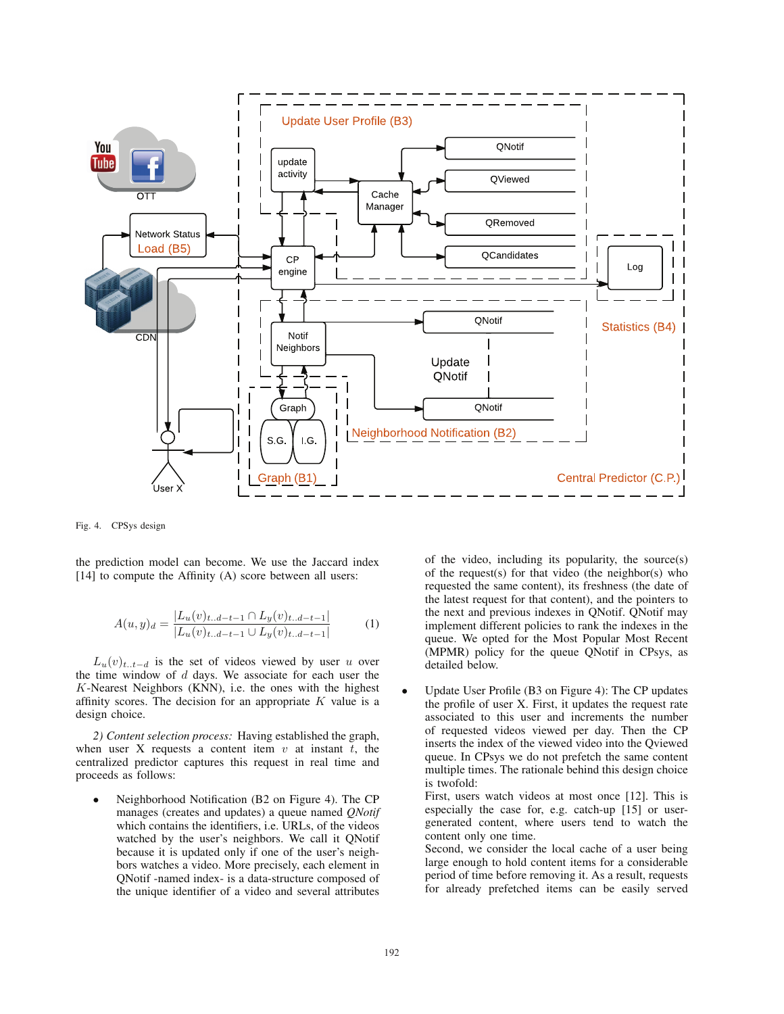

Fig. 4. CPSys design

the prediction model can become. We use the Jaccard index [14] to compute the Affinity (A) score between all users:

$$
A(u,y)_d = \frac{|L_u(v)_{t..d-t-1} \cap L_y(v)_{t..d-t-1}|}{|L_u(v)_{t..d-t-1} \cup L_y(v)_{t..d-t-1}|} \tag{1}
$$

 $L_u(v)_{t..t-d}$  is the set of videos viewed by user u over the time window of  $d$  days. We associate for each user the K-Nearest Neighbors (KNN), i.e. the ones with the highest affinity scores. The decision for an appropriate  $K$  value is a design choice.

*2) Content selection process:* Having established the graph, when user X requests a content item  $v$  at instant  $t$ , the centralized predictor captures this request in real time and proceeds as follows:

• Neighborhood Notification (B2 on Figure 4). The CP manages (creates and updates) a queue named *QNotif* which contains the identifiers, i.e. URLs, of the videos watched by the user's neighbors. We call it QNotif because it is updated only if one of the user's neighbors watches a video. More precisely, each element in QNotif -named index- is a data-structure composed of the unique identifier of a video and several attributes

of the video, including its popularity, the source(s) of the request(s) for that video (the neighbor(s) who requested the same content), its freshness (the date of the latest request for that content), and the pointers to the next and previous indexes in QNotif. QNotif may implement different policies to rank the indexes in the queue. We opted for the Most Popular Most Recent (MPMR) policy for the queue QNotif in CPsys, as detailed below.

• Update User Profile (B3 on Figure 4): The CP updates the profile of user X. First, it updates the request rate associated to this user and increments the number of requested videos viewed per day. Then the CP inserts the index of the viewed video into the Qviewed queue. In CPsys we do not prefetch the same content multiple times. The rationale behind this design choice is twofold:

First, users watch videos at most once [12]. This is especially the case for, e.g. catch-up [15] or usergenerated content, where users tend to watch the content only one time.

Second, we consider the local cache of a user being large enough to hold content items for a considerable period of time before removing it. As a result, requests for already prefetched items can be easily served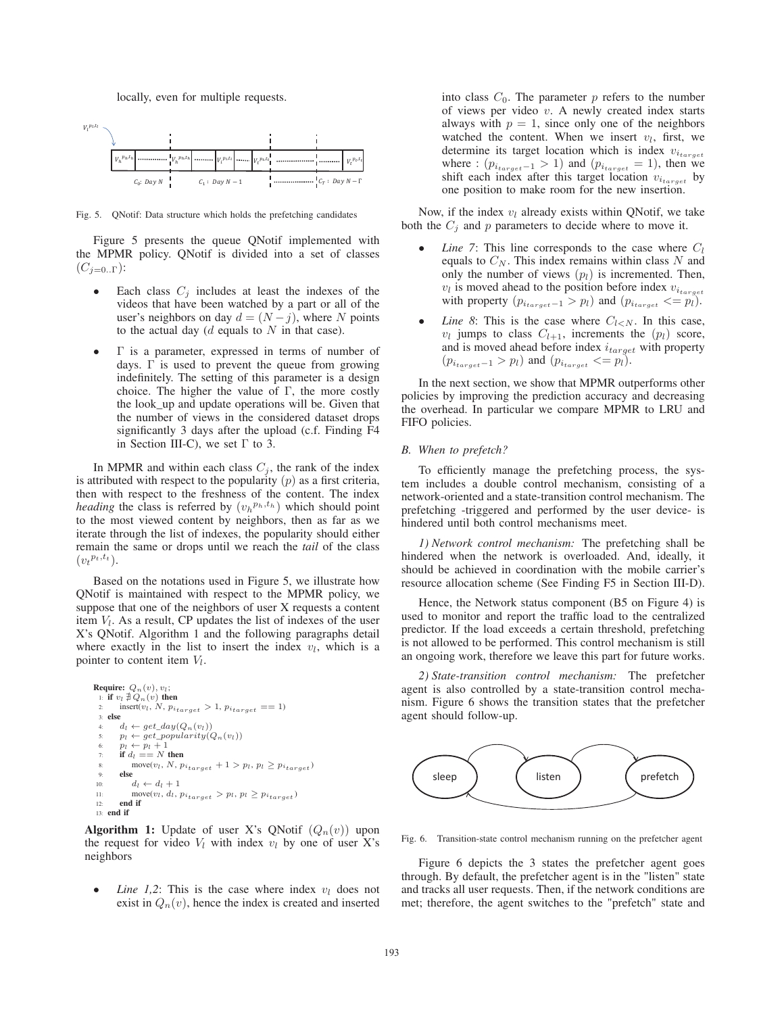#### locally, even for multiple requests.



Fig. 5. QNotif: Data structure which holds the prefetching candidates

Figure 5 presents the queue QNotif implemented with the MPMR policy. QNotif is divided into a set of classes  $(C_{j=0}.\Gamma)$ :

- Each class  $C_j$  includes at least the indexes of the videos that have been watched by a part or all of the user's neighbors on day  $d = (N - j)$ , where N points to the actual day ( $d$  equals to  $N$  in that case).
- Γ is a parameter, expressed in terms of number of days. Γ is used to prevent the queue from growing indefinitely. The setting of this parameter is a design choice. The higher the value of  $\Gamma$ , the more costly the look\_up and update operations will be. Given that the number of views in the considered dataset drops significantly 3 days after the upload (c.f. Finding F4 in Section III-C), we set  $\Gamma$  to 3.

In MPMR and within each class  $C_j$ , the rank of the index is attributed with respect to the popularity  $(p)$  as a first criteria, then with respect to the freshness of the content. The index *heading* the class is referred by  $(v_h^{p_h,t_h})$  which should point to the most viewed content by neighbors, then as far as we iterate through the list of indexes, the popularity should either remain the same or drops until we reach the *tail* of the class  $(v_t^{p_t,t_t}).$ 

Based on the notations used in Figure 5, we illustrate how QNotif is maintained with respect to the MPMR policy, we suppose that one of the neighbors of user X requests a content item  $V_l$ . As a result, CP updates the list of indexes of the user X's QNotif. Algorithm 1 and the following paragraphs detail where exactly in the list to insert the index  $v_l$ , which is a pointer to content item  $V_l$ .

```
Require: Q_n(v), v_l;
  1: if v_l \nexists Q_n(v) then
          \text{insert}(v_l, N, p_{i_{target}} > 1, p_{i_{target}} == 1)3: else
          d_l \leftarrow get\_day(Q_n(v_l))5: p_l \leftarrow get\_popularity(Q_n(v_l))<br>6: p_l \leftarrow p_l + 16: p_l \leftarrow p_l + 1<br>7: if d_l == N then
  8: move(v_l, N, p_{i_{target}} + 1 > p_l, p_l \geq p_{i_{target}})9: else<br>10: \frac{1}{2}10: d_l \leftarrow d_l + 1<br>
11: \text{move}(v_l, d_l, j)11: move(v_l, d_l, p_{i_{target}} > p_l, p_l \geq p_{i_{target}})<br>
22. end if
          end if
 13: end if
```
**Algorithm 1:** Update of user X's QNotif  $(Q_n(v))$  upon the request for video  $V_l$  with index  $v_l$  by one of user X's neighbors

*Line 1,2*: This is the case where index  $v_l$  does not exist in  $Q_n(v)$ , hence the index is created and inserted

into class  $C_0$ . The parameter p refers to the number of views per video  $v$ . A newly created index starts always with  $p = 1$ , since only one of the neighbors watched the content. When we insert  $v_l$ , first, we determine its target location which is index <sup>v</sup>i*target* where :  $(p_{i_{target}-1} > 1)$  and  $(p_{i_{target}} = 1)$ , then we shift each index after this target location <sup>v</sup>i*target* by one position to make room for the new insertion.

Now, if the index  $v_l$  already exists within QNotif, we take both the  $C_i$  and p parameters to decide where to move it.

- *Line 7*: This line corresponds to the case where  $C_l$ equals to  $C_N$ . This index remains within class N and only the number of views  $(p_l)$  is incremented. Then,  $v_l$  is moved ahead to the position before index  $v_{i_{target}}$ with property  $(p_{i_{target}-1} > p_l)$  and  $(p_{i_{target}} < p_l)$ .
- *Line 8*: This is the case where  $C_{l \lt N}$ . In this case,  $v_l$  jumps to class  $C_{l+1}$ , increments the  $(p_l)$  score, and is moved ahead before index  $i_{target}$  with property  $(p_{i_{target}-1} > p_l)$  and  $(p_{i_{target}} < p_l)$ .

In the next section, we show that MPMR outperforms other policies by improving the prediction accuracy and decreasing the overhead. In particular we compare MPMR to LRU and FIFO policies.

# *B. When to prefetch?*

To efficiently manage the prefetching process, the system includes a double control mechanism, consisting of a network-oriented and a state-transition control mechanism. The prefetching -triggered and performed by the user device- is hindered until both control mechanisms meet.

*1) Network control mechanism:* The prefetching shall be hindered when the network is overloaded. And, ideally, it should be achieved in coordination with the mobile carrier's resource allocation scheme (See Finding F5 in Section III-D).

Hence, the Network status component (B5 on Figure 4) is used to monitor and report the traffic load to the centralized predictor. If the load exceeds a certain threshold, prefetching is not allowed to be performed. This control mechanism is still an ongoing work, therefore we leave this part for future works.

*2) State-transition control mechanism:* The prefetcher agent is also controlled by a state-transition control mechanism. Figure 6 shows the transition states that the prefetcher agent should follow-up.



Fig. 6. Transition-state control mechanism running on the prefetcher agent

Figure 6 depicts the 3 states the prefetcher agent goes through. By default, the prefetcher agent is in the "listen" state and tracks all user requests. Then, if the network conditions are met; therefore, the agent switches to the "prefetch" state and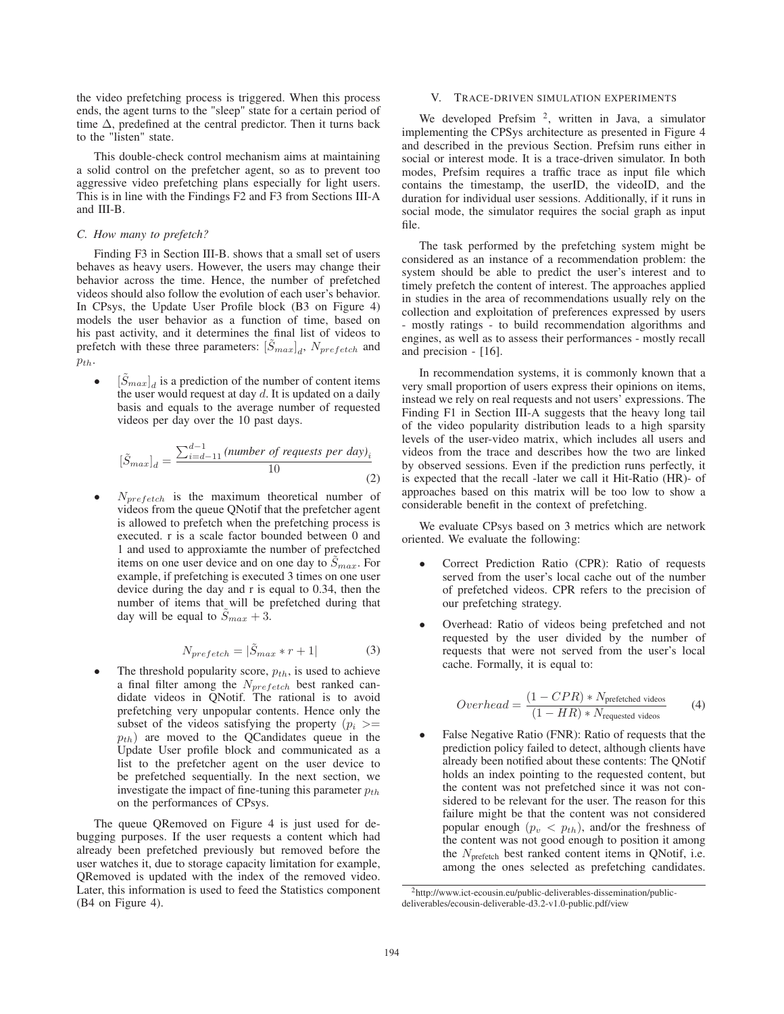the video prefetching process is triggered. When this process ends, the agent turns to the "sleep" state for a certain period of time  $\Delta$ , predefined at the central predictor. Then it turns back to the "listen" state.

This double-check control mechanism aims at maintaining a solid control on the prefetcher agent, so as to prevent too aggressive video prefetching plans especially for light users. This is in line with the Findings F2 and F3 from Sections III-A and III-B.

# *C. How many to prefetch?*

Finding F3 in Section III-B. shows that a small set of users behaves as heavy users. However, the users may change their behavior across the time. Hence, the number of prefetched videos should also follow the evolution of each user's behavior. In CPsys, the Update User Profile block (B3 on Figure 4) models the user behavior as a function of time, based on his past activity, and it determines the final list of videos to prefetch with these three parameters:  $[\tilde{S}_{max}]_d$ ,  $N_{prefetch}$  and  $p_{th}$ .

•  $[\tilde{S}_{max}]_d$  is a prediction of the number of content items the user would request at day  $d$ . It is updated on a daily basis and equals to the average number of requested videos per day over the 10 past days.

$$
[\tilde{S}_{max}]_d = \frac{\sum_{i=d-11}^{d-1} (number\ of\ requests\ per\ day)_i}{10}
$$
\n(2)

 $N_{prefetch}$  is the maximum theoretical number of videos from the queue QNotif that the prefetcher agent is allowed to prefetch when the prefetching process is executed. r is a scale factor bounded between 0 and 1 and used to approxiamte the number of prefectched items on one user device and on one day to  $S_{max}$ . For example, if prefetching is executed 3 times on one user device during the day and r is equal to 0.34, then the number of items that will be prefetched during that day will be equal to  $\tilde{S}_{max} + 3$ .

$$
N_{prefetch} = |\tilde{S}_{max} * r + 1| \tag{3}
$$

The threshold popularity score,  $p_{th}$ , is used to achieve a final filter among the  $N_{prefetch}$  best ranked candidate videos in QNotif. The rational is to avoid prefetching very unpopular contents. Hence only the subset of the videos satisfying the property  $(p_i >=$  $p_{th}$ ) are moved to the QCandidates queue in the Update User profile block and communicated as a list to the prefetcher agent on the user device to be prefetched sequentially. In the next section, we investigate the impact of fine-tuning this parameter  $p_{th}$ on the performances of CPsys.

The queue QRemoved on Figure 4 is just used for debugging purposes. If the user requests a content which had already been prefetched previously but removed before the user watches it, due to storage capacity limitation for example, QRemoved is updated with the index of the removed video. Later, this information is used to feed the Statistics component (B4 on Figure 4).

# V. TRACE-DRIVEN SIMULATION EXPERIMENTS

We developed Prefsim<sup>2</sup>, written in Java, a simulator implementing the CPSys architecture as presented in Figure 4 and described in the previous Section. Prefsim runs either in social or interest mode. It is a trace-driven simulator. In both modes, Prefsim requires a traffic trace as input file which contains the timestamp, the userID, the videoID, and the duration for individual user sessions. Additionally, if it runs in social mode, the simulator requires the social graph as input file.

The task performed by the prefetching system might be considered as an instance of a recommendation problem: the system should be able to predict the user's interest and to timely prefetch the content of interest. The approaches applied in studies in the area of recommendations usually rely on the collection and exploitation of preferences expressed by users - mostly ratings - to build recommendation algorithms and engines, as well as to assess their performances - mostly recall and precision - [16].

In recommendation systems, it is commonly known that a very small proportion of users express their opinions on items, instead we rely on real requests and not users' expressions. The Finding F1 in Section III-A suggests that the heavy long tail of the video popularity distribution leads to a high sparsity levels of the user-video matrix, which includes all users and videos from the trace and describes how the two are linked by observed sessions. Even if the prediction runs perfectly, it is expected that the recall -later we call it Hit-Ratio (HR)- of approaches based on this matrix will be too low to show a considerable benefit in the context of prefetching.

We evaluate CPsys based on 3 metrics which are network oriented. We evaluate the following:

- Correct Prediction Ratio (CPR): Ratio of requests served from the user's local cache out of the number of prefetched videos. CPR refers to the precision of our prefetching strategy.
- Overhead: Ratio of videos being prefetched and not requested by the user divided by the number of requests that were not served from the user's local cache. Formally, it is equal to:

$$
Overhead = \frac{(1 - CPR) * N_{\text{prefetched videos}}}{(1 - HR) * N_{\text{requested videos}}}
$$
(4)

False Negative Ratio (FNR): Ratio of requests that the prediction policy failed to detect, although clients have already been notified about these contents: The QNotif holds an index pointing to the requested content, but the content was not prefetched since it was not considered to be relevant for the user. The reason for this failure might be that the content was not considered popular enough  $(p_v \, \langle \, p_{th})$ , and/or the freshness of the content was not good enough to position it among the  $N_{\text{prefetch}}$  best ranked content items in QNotif, i.e. among the ones selected as prefetching candidates.

<sup>2</sup>http://www.ict-ecousin.eu/public-deliverables-dissemination/publicdeliverables/ecousin-deliverable-d3.2-v1.0-public.pdf/view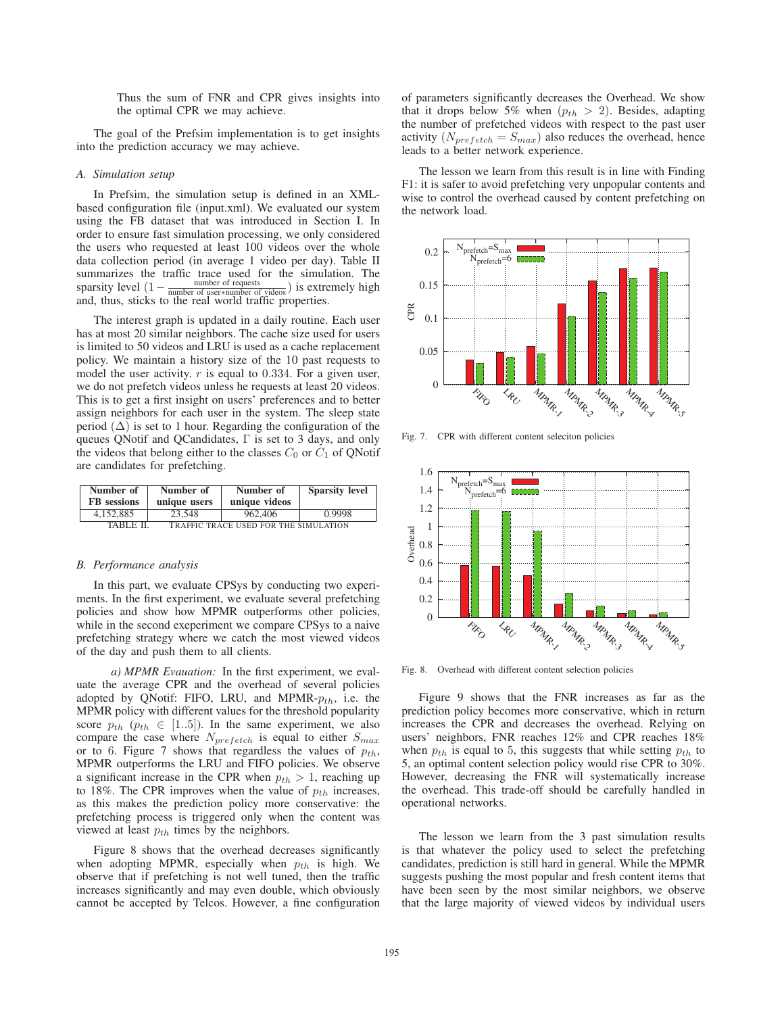Thus the sum of FNR and CPR gives insights into the optimal CPR we may achieve.

The goal of the Prefsim implementation is to get insights into the prediction accuracy we may achieve.

## *A. Simulation setup*

In Prefsim, the simulation setup is defined in an XMLbased configuration file (input.xml). We evaluated our system using the FB dataset that was introduced in Section I. In order to ensure fast simulation processing, we only considered the users who requested at least 100 videos over the whole data collection period (in average 1 video per day). Table II summarizes the traffic trace used for the simulation. The sparsity level  $\left(1-\frac{\text{number of requests}}{\text{number of users*number of videos}}\right)$  is extremely high and, thus, sticks to the real world traffic properties.

The interest graph is updated in a daily routine. Each user has at most 20 similar neighbors. The cache size used for users is limited to 50 videos and LRU is used as a cache replacement policy. We maintain a history size of the 10 past requests to model the user activity.  $r$  is equal to 0.334. For a given user, we do not prefetch videos unless he requests at least 20 videos. This is to get a first insight on users' preferences and to better assign neighbors for each user in the system. The sleep state period  $(\Delta)$  is set to 1 hour. Regarding the configuration of the queues QNotif and QCandidates, Γ is set to 3 days, and only the videos that belong either to the classes  $C_0$  or  $C_1$  of QNotif are candidates for prefetching.

| Number of                                                | Number of    | Number of     | <b>Sparsity level</b> |  |  |  |
|----------------------------------------------------------|--------------|---------------|-----------------------|--|--|--|
| <b>FB</b> sessions                                       | unique users | unique videos |                       |  |  |  |
| 4.152.885                                                | 23.548       | 962,406       | 0.9998                |  |  |  |
| <b>TRAFFIC TRACE USED FOR THE SIMULATION</b><br>TABLE II |              |               |                       |  |  |  |

#### *B. Performance analysis*

In this part, we evaluate CPSys by conducting two experiments. In the first experiment, we evaluate several prefetching policies and show how MPMR outperforms other policies, while in the second exeperiment we compare CPSys to a naive prefetching strategy where we catch the most viewed videos of the day and push them to all clients.

*a) MPMR Evauation:* In the first experiment, we evaluate the average CPR and the overhead of several policies adopted by QNotif: FIFO, LRU, and MPMR- $p_{th}$ , i.e. the MPMR policy with different values for the threshold popularity score  $p_{th}$  ( $p_{th} \in [1..5]$ ). In the same experiment, we also compare the case where  $N_{prefetch}$  is equal to either  $S_{max}$ or to 6. Figure 7 shows that regardless the values of  $p_{th}$ , MPMR outperforms the LRU and FIFO policies. We observe a significant increase in the CPR when  $p_{th} > 1$ , reaching up to 18%. The CPR improves when the value of  $p_{th}$  increases, as this makes the prediction policy more conservative: the prefetching process is triggered only when the content was viewed at least  $p_{th}$  times by the neighbors.

Figure 8 shows that the overhead decreases significantly when adopting MPMR, especially when  $p_{th}$  is high. We observe that if prefetching is not well tuned, then the traffic increases significantly and may even double, which obviously cannot be accepted by Telcos. However, a fine configuration

of parameters significantly decreases the Overhead. We show that it drops below 5% when  $(p_{th} > 2)$ . Besides, adapting the number of prefetched videos with respect to the past user activity  $(N_{prefetch} = S_{max})$  also reduces the overhead, hence leads to a better network experience.

The lesson we learn from this result is in line with Finding F1: it is safer to avoid prefetching very unpopular contents and wise to control the overhead caused by content prefetching on the network load.



Fig. 7. CPR with different content seleciton policies



Fig. 8. Overhead with different content selection policies

Figure 9 shows that the FNR increases as far as the prediction policy becomes more conservative, which in return increases the CPR and decreases the overhead. Relying on users' neighbors, FNR reaches 12% and CPR reaches 18% when  $p_{th}$  is equal to 5, this suggests that while setting  $p_{th}$  to 5, an optimal content selection policy would rise CPR to 30%. However, decreasing the FNR will systematically increase the overhead. This trade-off should be carefully handled in operational networks.

The lesson we learn from the 3 past simulation results is that whatever the policy used to select the prefetching candidates, prediction is still hard in general. While the MPMR suggests pushing the most popular and fresh content items that have been seen by the most similar neighbors, we observe that the large majority of viewed videos by individual users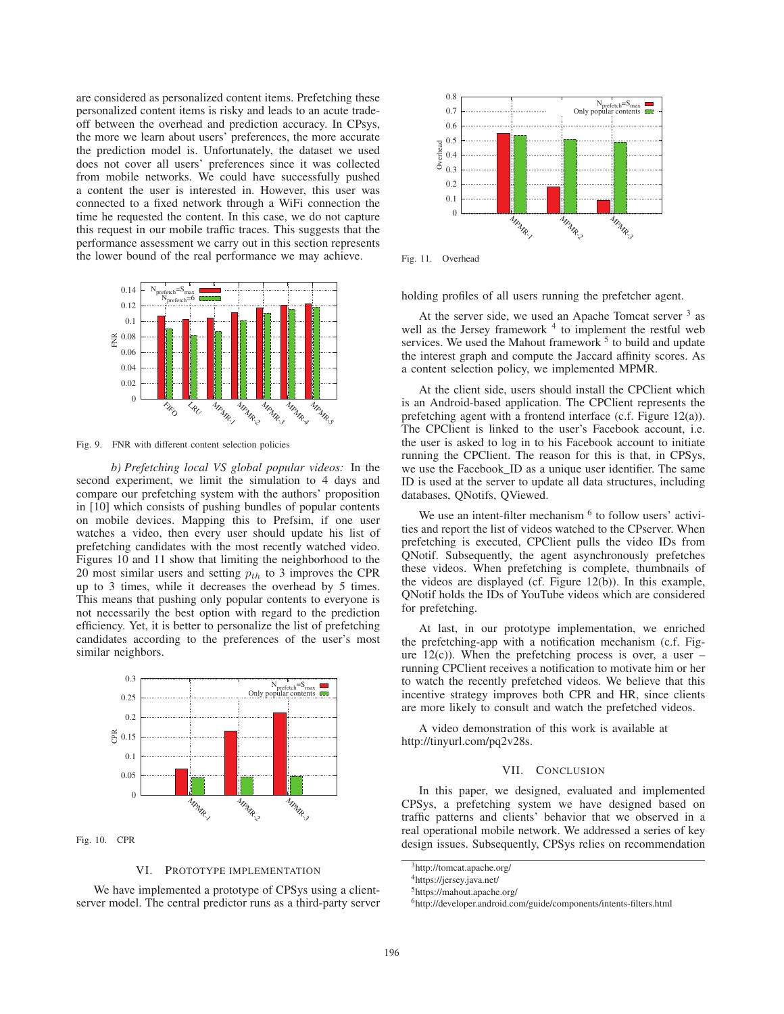are considered as personalized content items. Prefetching these personalized content items is risky and leads to an acute tradeoff between the overhead and prediction accuracy. In CPsys, the more we learn about users' preferences, the more accurate the prediction model is. Unfortunately, the dataset we used does not cover all users' preferences since it was collected from mobile networks. We could have successfully pushed a content the user is interested in. However, this user was connected to a fixed network through a WiFi connection the time he requested the content. In this case, we do not capture this request in our mobile traffic traces. This suggests that the performance assessment we carry out in this section represents the lower bound of the real performance we may achieve.



Fig. 9. FNR with different content selection policies

*b) Prefetching local VS global popular videos:* In the second experiment, we limit the simulation to 4 days and compare our prefetching system with the authors' proposition in [10] which consists of pushing bundles of popular contents on mobile devices. Mapping this to Prefsim, if one user watches a video, then every user should update his list of prefetching candidates with the most recently watched video. Figures 10 and 11 show that limiting the neighborhood to the 20 most similar users and setting  $p_{th}$  to 3 improves the CPR up to 3 times, while it decreases the overhead by 5 times. This means that pushing only popular contents to everyone is not necessarily the best option with regard to the prediction efficiency. Yet, it is better to personalize the list of prefetching candidates according to the preferences of the user's most similar neighbors.



Fig. 10. CPR

# VI. PROTOTYPE IMPLEMENTATION

We have implemented a prototype of CPSys using a clientserver model. The central predictor runs as a third-party server



Fig. 11. Overhead

holding profiles of all users running the prefetcher agent.

At the server side, we used an Apache Tomcat server  $3$  as well as the Jersey framework  $4$  to implement the restful web services. We used the Mahout framework  $<sup>5</sup>$  to build and update</sup> the interest graph and compute the Jaccard affinity scores. As a content selection policy, we implemented MPMR.

At the client side, users should install the CPClient which is an Android-based application. The CPClient represents the prefetching agent with a frontend interface (c.f. Figure 12(a)). The CPClient is linked to the user's Facebook account, i.e. the user is asked to log in to his Facebook account to initiate running the CPClient. The reason for this is that, in CPSys, we use the Facebook\_ID as a unique user identifier. The same ID is used at the server to update all data structures, including databases, QNotifs, QViewed.

We use an intent-filter mechanism  $<sup>6</sup>$  to follow users' activi-</sup> ties and report the list of videos watched to the CPserver. When prefetching is executed, CPClient pulls the video IDs from QNotif. Subsequently, the agent asynchronously prefetches these videos. When prefetching is complete, thumbnails of the videos are displayed (cf. Figure 12(b)). In this example, QNotif holds the IDs of YouTube videos which are considered for prefetching.

At last, in our prototype implementation, we enriched the prefetching-app with a notification mechanism (c.f. Figure  $12(c)$ ). When the prefetching process is over, a user – running CPClient receives a notification to motivate him or her to watch the recently prefetched videos. We believe that this incentive strategy improves both CPR and HR, since clients are more likely to consult and watch the prefetched videos.

A video demonstration of this work is available at http://tinyurl.com/pq2v28s.

## VII. CONCLUSION

In this paper, we designed, evaluated and implemented CPSys, a prefetching system we have designed based on traffic patterns and clients' behavior that we observed in a real operational mobile network. We addressed a series of key design issues. Subsequently, CPSys relies on recommendation

5https://mahout.apache.org/

<sup>3</sup>http://tomcat.apache.org/

<sup>4</sup>https://jersey.java.net/

 $^6$ http://developer.android.com/guide/components/intents-filters.html